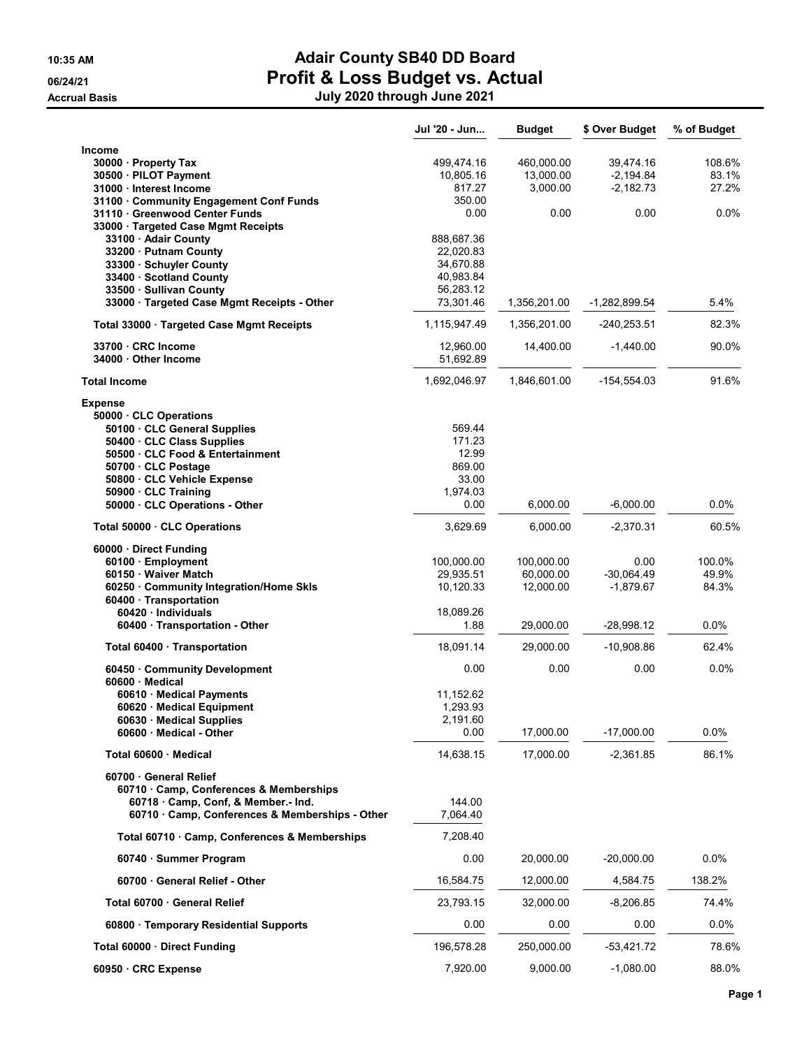# 10:35 AM **Adair County SB40 DD Board 06/24/21** 06/24/21 **Profit & Loss Budget vs. Actual Accrual Basis** July 2021 through July 2021 through July 2021 through July 2021 through July 2021 through July 2021

|  | July 2020 through June 2021 |  |
|--|-----------------------------|--|
|--|-----------------------------|--|

|                                                                                      | Jul '20 - Jun          | <b>Budget</b> | \$ Over Budget | % of Budget |
|--------------------------------------------------------------------------------------|------------------------|---------------|----------------|-------------|
| Income                                                                               |                        |               |                |             |
| 30000 · Property Tax                                                                 | 499,474.16             | 460,000.00    | 39,474.16      | 108.6%      |
| 30500 · PILOT Payment                                                                | 10,805.16              | 13,000.00     | $-2,194.84$    | 83.1%       |
| 31000 · Interest Income                                                              | 817.27                 | 3,000.00      | $-2,182.73$    | 27.2%       |
| 31100 Community Engagement Conf Funds<br>31110 Greenwood Center Funds                | 350.00<br>0.00         | 0.00          | 0.00           | 0.0%        |
| 33000 · Targeted Case Mgmt Receipts                                                  |                        |               |                |             |
| 33100 · Adair County                                                                 | 888,687.36             |               |                |             |
| 33200 Putnam County                                                                  | 22,020.83              |               |                |             |
| 33300 · Schuyler County<br>33400 Scotland County                                     | 34,670.88<br>40,983.84 |               |                |             |
| 33500 · Sullivan County                                                              | 56,283.12              |               |                |             |
| 33000 · Targeted Case Mgmt Receipts - Other                                          | 73,301.46              | 1,356,201.00  | -1,282,899.54  | 5.4%        |
| Total 33000 · Targeted Case Mgmt Receipts                                            | 1,115,947.49           | 1,356,201.00  | $-240,253.51$  | 82.3%       |
|                                                                                      |                        |               |                |             |
| 33700 CRC Income                                                                     | 12,960.00              | 14,400.00     | $-1,440.00$    | 90.0%       |
| 34000 Other Income                                                                   | 51,692.89              |               |                |             |
| <b>Total Income</b>                                                                  | 1,692,046.97           | 1,846,601.00  | $-154,554.03$  | 91.6%       |
| <b>Expense</b>                                                                       |                        |               |                |             |
| 50000 CLC Operations                                                                 |                        |               |                |             |
| 50100 · CLC General Supplies                                                         | 569.44                 |               |                |             |
| 50400 · CLC Class Supplies<br>50500 CLC Food & Entertainment                         | 171.23<br>12.99        |               |                |             |
| 50700 CLC Postage                                                                    | 869.00                 |               |                |             |
| 50800 CLC Vehicle Expense                                                            | 33.00                  |               |                |             |
| 50900 · CLC Training                                                                 | 1.974.03               |               |                |             |
| 50000 CLC Operations - Other                                                         | 0.00                   | 6,000.00      | $-6,000.00$    | 0.0%        |
| Total 50000 · CLC Operations                                                         | 3,629.69               | 6,000.00      | $-2,370.31$    | 60.5%       |
| 60000 · Direct Funding                                                               |                        |               |                |             |
| 60100 · Employment                                                                   | 100,000.00             | 100,000.00    | 0.00           | 100.0%      |
| 60150 · Waiver Match                                                                 | 29,935.51              | 60,000.00     | $-30,064.49$   | 49.9%       |
| 60250 Community Integration/Home Skls                                                | 10,120.33              | 12,000.00     | $-1,879.67$    | 84.3%       |
| 60400 · Transportation<br>60420 Individuals                                          |                        |               |                |             |
| 60400 · Transportation - Other                                                       | 18,089.26<br>1.88      | 29,000.00     | $-28,998.12$   | 0.0%        |
|                                                                                      |                        |               |                |             |
| Total 60400 · Transportation                                                         | 18,091.14              | 29,000.00     | $-10,908.86$   | 62.4%       |
| 60450 Community Development<br>60600 Medical                                         | 0.00                   | 0.00          | 0.00           | 0.0%        |
| 60610 Medical Payments                                                               | 11,152.62              |               |                |             |
| 60620 · Medical Equipment                                                            | 1,293.93               |               |                |             |
| 60630 Medical Supplies                                                               | 2,191.60               |               |                |             |
| 60600 Medical - Other                                                                | 0.00                   | 17,000.00     | $-17,000.00$   | 0.0%        |
| Total 60600 · Medical                                                                | 14,638.15              | 17.000.00     | $-2,361.85$    | 86.1%       |
| 60700 General Relief                                                                 |                        |               |                |             |
| 60710 Camp, Conferences & Memberships                                                |                        |               |                |             |
| 60718 Camp, Conf, & Member.- Ind.<br>60710 · Camp, Conferences & Memberships - Other | 144.00<br>7,064.40     |               |                |             |
| Total 60710 · Camp, Conferences & Memberships                                        | 7,208.40               |               |                |             |
| 60740 · Summer Program                                                               | 0.00                   | 20,000.00     | $-20,000.00$   | 0.0%        |
| 60700 General Relief - Other                                                         | 16,584.75              | 12,000.00     | 4,584.75       | 138.2%      |
| Total 60700 · General Relief                                                         | 23,793.15              | 32,000.00     | $-8,206.85$    | 74.4%       |
| 60800 · Temporary Residential Supports                                               | 0.00                   | 0.00          | 0.00           | 0.0%        |
| Total 60000 Direct Funding                                                           | 196,578.28             | 250,000.00    | $-53,421.72$   | 78.6%       |
| 60950 · CRC Expense                                                                  | 7,920.00               | 9,000.00      | $-1,080.00$    | 88.0%       |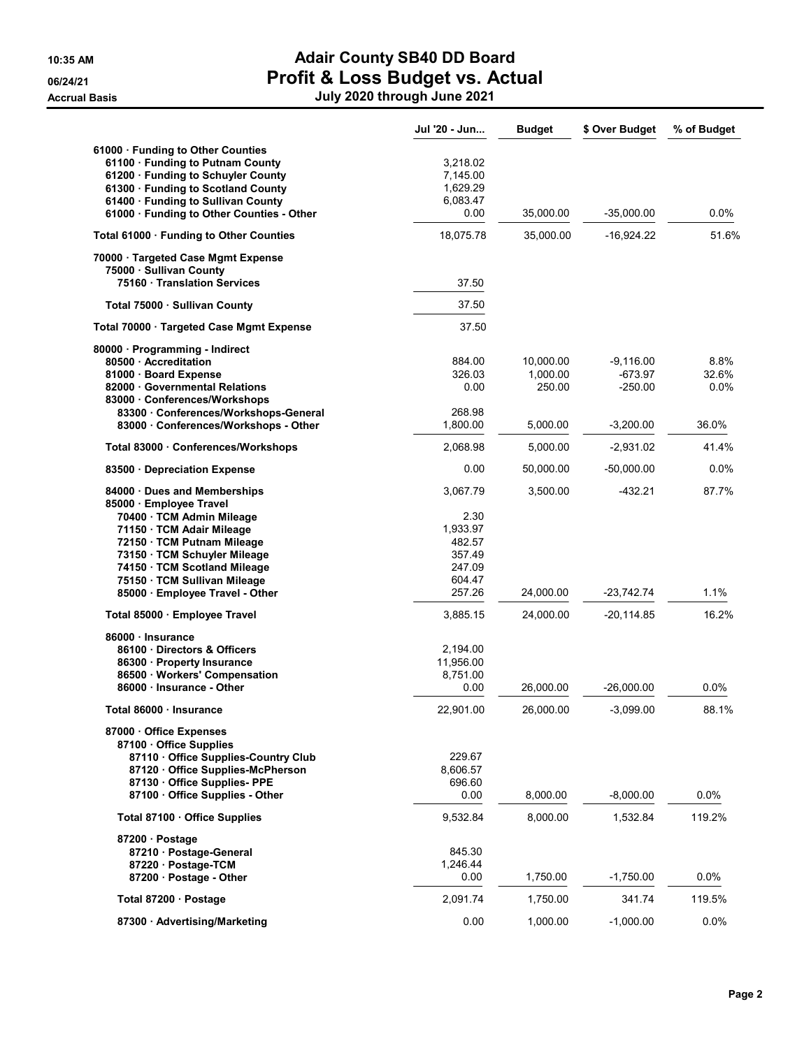|                                                              | Jul '20 - Jun      | <b>Budget</b> | \$ Over Budget | % of Budget |
|--------------------------------------------------------------|--------------------|---------------|----------------|-------------|
| 61000 · Funding to Other Counties                            |                    |               |                |             |
| 61100 · Funding to Putnam County                             | 3,218.02           |               |                |             |
| 61200 · Funding to Schuyler County                           | 7,145.00           |               |                |             |
| 61300 · Funding to Scotland County                           | 1,629.29           |               |                |             |
| 61400 · Funding to Sullivan County                           | 6,083.47           |               |                |             |
| 61000 · Funding to Other Counties - Other                    | 0.00               | 35,000.00     | $-35,000.00$   | 0.0%        |
| Total 61000 · Funding to Other Counties                      | 18,075.78          | 35,000.00     | $-16,924.22$   | 51.6%       |
| 70000 · Targeted Case Mgmt Expense                           |                    |               |                |             |
| 75000 · Sullivan County<br>75160 · Translation Services      | 37.50              |               |                |             |
| Total 75000 · Sullivan County                                | 37.50              |               |                |             |
|                                                              | 37.50              |               |                |             |
| Total 70000 Targeted Case Mgmt Expense                       |                    |               |                |             |
| 80000 · Programming - Indirect<br>80500 Accreditation        | 884.00             | 10,000.00     | $-9,116.00$    | 8.8%        |
| 81000 · Board Expense                                        | 326.03             | 1,000.00      | $-673.97$      | 32.6%       |
| 82000 Governmental Relations                                 | 0.00               | 250.00        | $-250.00$      | $0.0\%$     |
| 83000 Conferences/Workshops                                  |                    |               |                |             |
| 83300 Conferences/Workshops-General                          | 268.98             |               |                |             |
| 83000 Conferences/Workshops - Other                          | 1.800.00           | 5,000.00      | $-3,200.00$    | 36.0%       |
| Total 83000 · Conferences/Workshops                          | 2,068.98           | 5,000.00      | $-2,931.02$    | 41.4%       |
| 83500 Depreciation Expense                                   | 0.00               | 50,000.00     | $-50,000.00$   | $0.0\%$     |
| 84000 Dues and Memberships                                   | 3,067.79           | 3,500.00      | $-432.21$      | 87.7%       |
| 85000 · Employee Travel                                      |                    |               |                |             |
| 70400 · TCM Admin Mileage                                    | 2.30               |               |                |             |
| 71150 · TCM Adair Mileage                                    | 1,933.97<br>482.57 |               |                |             |
| 72150 · TCM Putnam Mileage<br>73150 · TCM Schuyler Mileage   | 357.49             |               |                |             |
| 74150 · TCM Scotland Mileage                                 | 247.09             |               |                |             |
| 75150 · TCM Sullivan Mileage                                 | 604.47             |               |                |             |
| 85000 · Employee Travel - Other                              | 257.26             | 24,000.00     | -23,742.74     | 1.1%        |
| Total 85000 · Employee Travel                                | 3,885.15           | 24,000.00     | -20,114.85     | 16.2%       |
| 86000 · Insurance                                            |                    |               |                |             |
| 86100 Directors & Officers                                   | 2,194.00           |               |                |             |
| 86300 Property Insurance                                     | 11,956.00          |               |                |             |
| 86500 Workers' Compensation                                  | 8,751.00           |               |                |             |
| 86000 Insurance - Other                                      | 0.00               | 26,000.00     | $-26,000.00$   | $0.0\%$     |
| Total 86000 · Insurance                                      | 22,901.00          | 26,000.00     | $-3,099.00$    | 88.1%       |
| 87000 Office Expenses                                        |                    |               |                |             |
| 87100 Office Supplies                                        |                    |               |                |             |
| 87110 Office Supplies-Country Club                           | 229.67             |               |                |             |
| 87120 Office Supplies-McPherson<br>87130 Office Supplies-PPE | 8,606.57<br>696.60 |               |                |             |
| 87100 Office Supplies - Other                                | 0.00               | 8,000.00      | $-8,000.00$    | 0.0%        |
|                                                              |                    |               |                |             |
| Total 87100 Office Supplies                                  | 9,532.84           | 8,000.00      | 1,532.84       | 119.2%      |
| 87200 · Postage                                              |                    |               |                |             |
| 87210 · Postage-General                                      | 845.30             |               |                |             |
| 87220 · Postage-TCM                                          | 1,246.44           |               |                |             |
| 87200 Postage - Other                                        | 0.00               | 1,750.00      | -1,750.00      | 0.0%        |
| Total 87200 · Postage                                        | 2,091.74           | 1,750.00      | 341.74         | 119.5%      |
| 87300 · Advertising/Marketing                                | 0.00               | 1,000.00      | $-1,000.00$    | 0.0%        |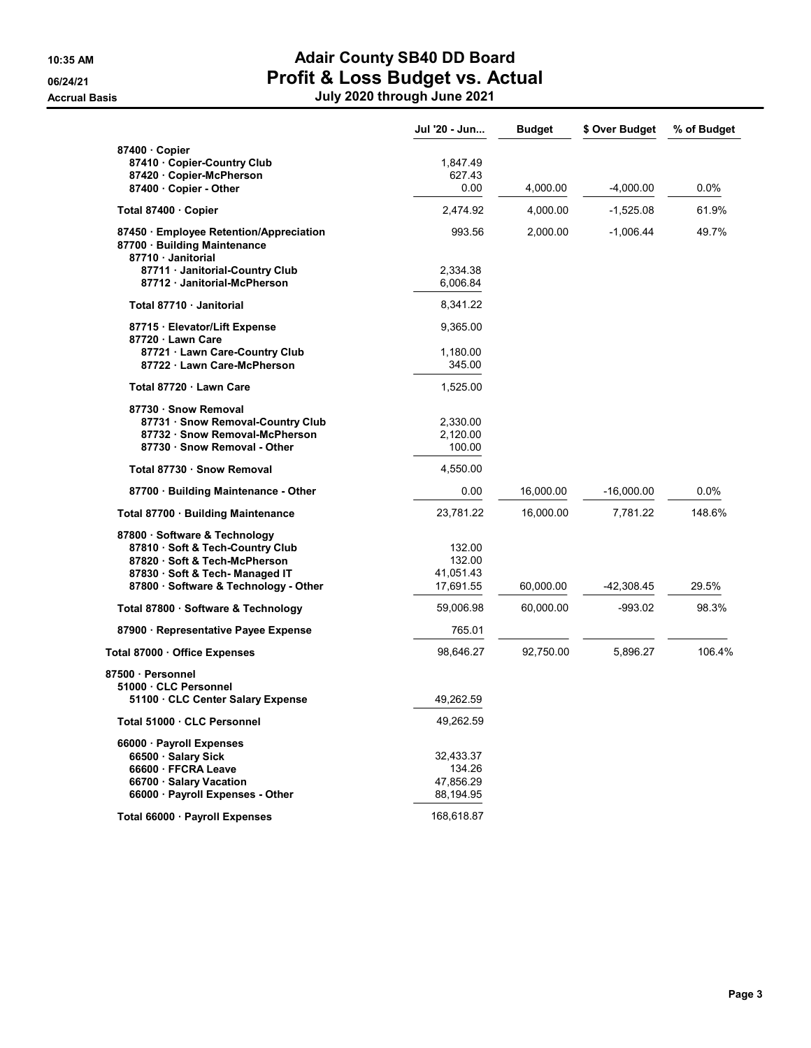|                                                                                           | Jul '20 - Jun | <b>Budget</b> | \$ Over Budget | % of Budget |
|-------------------------------------------------------------------------------------------|---------------|---------------|----------------|-------------|
| 87400 Copier                                                                              |               |               |                |             |
| 87410 · Copier-Country Club                                                               | 1,847.49      |               |                |             |
| 87420 · Copier-McPherson                                                                  | 627.43        |               |                |             |
| 87400 Copier - Other                                                                      | 0.00          | 4,000.00      | $-4,000.00$    | $0.0\%$     |
| Total 87400 Copier                                                                        | 2,474.92      | 4,000.00      | $-1,525.08$    | 61.9%       |
| 87450 Employee Retention/Appreciation<br>87700 · Building Maintenance<br>87710 Janitorial | 993.56        | 2,000.00      | $-1,006.44$    | 49.7%       |
| 87711 · Janitorial-Country Club                                                           | 2,334.38      |               |                |             |
| 87712 Janitorial-McPherson                                                                | 6,006.84      |               |                |             |
| Total 87710 · Janitorial                                                                  | 8,341.22      |               |                |             |
| 87715 · Elevator/Lift Expense<br>87720 Lawn Care                                          | 9,365.00      |               |                |             |
| 87721 Lawn Care-Country Club                                                              | 1,180.00      |               |                |             |
| 87722 Lawn Care-McPherson                                                                 | 345.00        |               |                |             |
| Total 87720 · Lawn Care                                                                   | 1,525.00      |               |                |             |
| 87730 · Snow Removal                                                                      |               |               |                |             |
| 87731 Snow Removal-Country Club                                                           | 2,330.00      |               |                |             |
| 87732 · Snow Removal-McPherson                                                            | 2,120.00      |               |                |             |
| 87730 · Snow Removal - Other                                                              | 100.00        |               |                |             |
| Total 87730 · Snow Removal                                                                | 4,550.00      |               |                |             |
| 87700 · Building Maintenance - Other                                                      | 0.00          | 16,000.00     | $-16,000.00$   | $0.0\%$     |
| Total 87700 · Building Maintenance                                                        | 23,781.22     | 16,000.00     | 7,781.22       | 148.6%      |
| 87800 · Software & Technology                                                             |               |               |                |             |
| 87810 · Soft & Tech-Country Club                                                          | 132.00        |               |                |             |
| 87820 Soft & Tech-McPherson                                                               | 132.00        |               |                |             |
| 87830 · Soft & Tech- Managed IT                                                           | 41,051.43     |               |                |             |
| 87800 · Software & Technology - Other                                                     | 17,691.55     | 60,000.00     | -42,308.45     | 29.5%       |
| Total 87800 · Software & Technology                                                       | 59,006.98     | 60,000.00     | -993.02        | 98.3%       |
| 87900 · Representative Payee Expense                                                      | 765.01        |               |                |             |
| Total 87000 Office Expenses                                                               | 98,646.27     | 92,750.00     | 5,896.27       | 106.4%      |
| 87500 Personnel                                                                           |               |               |                |             |
| 51000 CLC Personnel                                                                       |               |               |                |             |
| 51100 CLC Center Salary Expense                                                           | 49,262.59     |               |                |             |
| Total 51000 · CLC Personnel                                                               | 49,262.59     |               |                |             |
| 66000 · Payroll Expenses                                                                  |               |               |                |             |
| 66500 · Salary Sick                                                                       | 32,433.37     |               |                |             |
| 66600 · FFCRA Leave                                                                       | 134.26        |               |                |             |
| 66700 · Salary Vacation                                                                   | 47,856.29     |               |                |             |
| 66000 · Payroll Expenses - Other                                                          | 88,194.95     |               |                |             |
| Total 66000 · Payroll Expenses                                                            | 168,618.87    |               |                |             |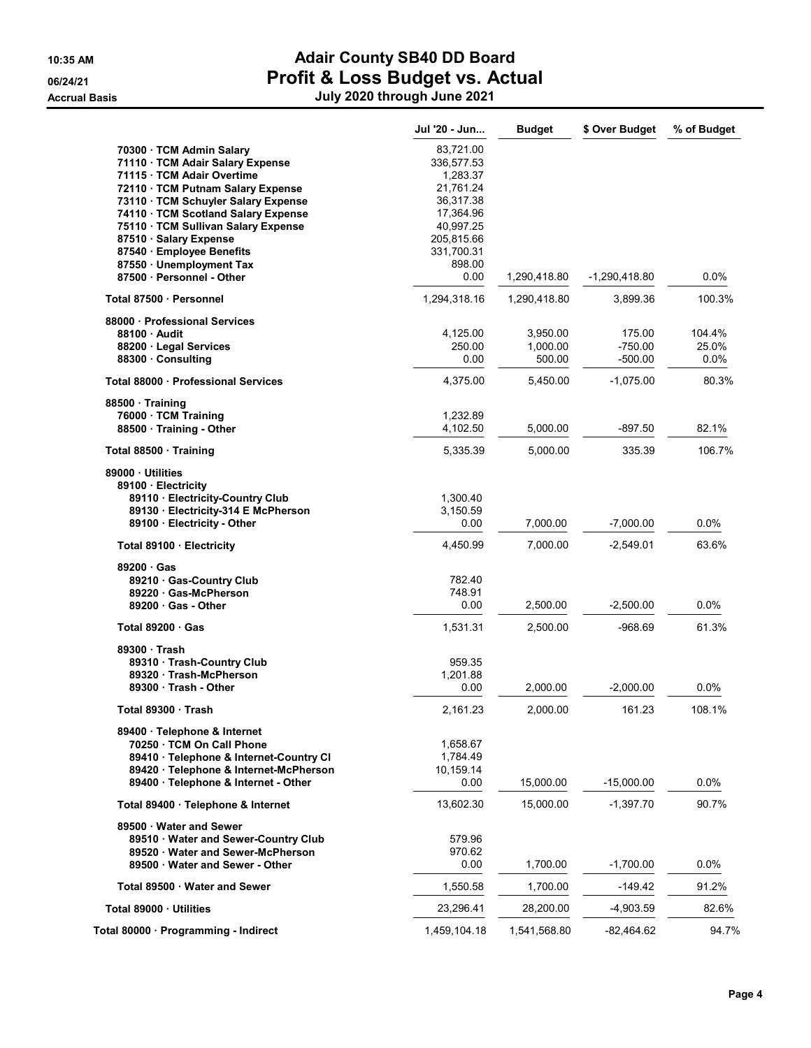|                                                                      | Jul '20 - Jun            | <b>Budget</b>      | \$ Over Budget         | % of Budget |
|----------------------------------------------------------------------|--------------------------|--------------------|------------------------|-------------|
| 70300 · TCM Admin Salary<br>71110 · TCM Adair Salary Expense         | 83,721.00<br>336,577.53  |                    |                        |             |
| 71115 · TCM Adair Overtime                                           | 1,283.37                 |                    |                        |             |
| 72110 · TCM Putnam Salary Expense                                    | 21,761.24                |                    |                        |             |
| 73110 · TCM Schuyler Salary Expense                                  | 36,317.38                |                    |                        |             |
| 74110 · TCM Scotland Salary Expense                                  | 17,364.96                |                    |                        |             |
| 75110 · TCM Sullivan Salary Expense                                  | 40,997.25                |                    |                        |             |
| 87510 · Salary Expense<br>87540 · Employee Benefits                  | 205,815.66<br>331,700.31 |                    |                        |             |
| 87550 · Unemployment Tax                                             | 898.00                   |                    |                        |             |
| 87500 Personnel - Other                                              | 0.00                     | 1,290,418.80       | -1,290,418.80          | $0.0\%$     |
| Total 87500 · Personnel                                              | 1,294,318.16             | 1,290,418.80       | 3,899.36               | 100.3%      |
| 88000 Professional Services                                          |                          |                    |                        |             |
| 88100 Audit                                                          | 4,125.00                 | 3,950.00           | 175.00                 | 104.4%      |
| 88200 · Legal Services                                               | 250.00<br>0.00           | 1,000.00<br>500.00 | $-750.00$<br>$-500.00$ | 25.0%       |
| 88300 Consulting                                                     |                          |                    |                        | 0.0%        |
| Total 88000 · Professional Services                                  | 4,375.00                 | 5,450.00           | -1,075.00              | 80.3%       |
| 88500 Training                                                       |                          |                    |                        |             |
| 76000 · TCM Training<br>88500 Training - Other                       | 1,232.89<br>4,102.50     | 5,000.00           | $-897.50$              | 82.1%       |
|                                                                      |                          |                    |                        |             |
| Total 88500 · Training                                               | 5,335.39                 | 5,000.00           | 335.39                 | 106.7%      |
| 89000 Utilities                                                      |                          |                    |                        |             |
| 89100 · Electricity<br>89110 Electricity-Country Club                | 1,300.40                 |                    |                        |             |
| 89130 Electricity-314 E McPherson                                    | 3,150.59                 |                    |                        |             |
| 89100 Electricity - Other                                            | 0.00                     | 7,000.00           | $-7,000.00$            | 0.0%        |
| Total 89100 · Electricity                                            | 4,450.99                 | 7,000.00           | $-2,549.01$            | 63.6%       |
| 89200 Gas                                                            |                          |                    |                        |             |
| 89210 Gas-Country Club                                               | 782.40                   |                    |                        |             |
| 89220 Gas-McPherson                                                  | 748.91                   |                    |                        |             |
| 89200 Gas - Other                                                    | 0.00                     | 2,500.00           | $-2,500.00$            | $0.0\%$     |
| Total 89200 Gas                                                      | 1,531.31                 | 2,500.00           | $-968.69$              | 61.3%       |
| 89300 Trash                                                          |                          |                    |                        |             |
| 89310 Trash-Country Club                                             | 959.35                   |                    |                        |             |
| 89320 Trash-McPherson<br>89300 Trash - Other                         | 1,201.88<br>0.00         | 2,000.00           | $-2,000.00$            | 0.0%        |
|                                                                      |                          |                    |                        |             |
| Total 89300 · Trash                                                  | 2,161.23                 | 2.000.00           | 161.23                 | 108.1%      |
| 89400 · Telephone & Internet                                         |                          |                    |                        |             |
| 70250 · TCM On Call Phone<br>89410 · Telephone & Internet-Country CI | 1,658.67<br>1,784.49     |                    |                        |             |
| 89420 · Telephone & Internet-McPherson                               | 10,159.14                |                    |                        |             |
| 89400 · Telephone & Internet - Other                                 | 0.00                     | 15,000.00          | $-15,000.00$           | 0.0%        |
| Total 89400 · Telephone & Internet                                   | 13,602.30                | 15,000.00          | $-1,397.70$            | 90.7%       |
|                                                                      |                          |                    |                        |             |
| 89500 Water and Sewer<br>89510 · Water and Sewer-Country Club        | 579.96                   |                    |                        |             |
| 89520 Water and Sewer-McPherson                                      | 970.62                   |                    |                        |             |
| 89500 Water and Sewer - Other                                        | 0.00                     | 1,700.00           | $-1,700.00$            | 0.0%        |
| Total 89500 · Water and Sewer                                        | 1,550.58                 | 1,700.00           | -149.42                | 91.2%       |
| Total 89000 Utilities                                                | 23,296.41                | 28,200.00          | $-4,903.59$            | 82.6%       |
| Total 80000 · Programming - Indirect                                 | 1,459,104.18             | 1,541,568.80       | $-82,464.62$           | 94.7%       |